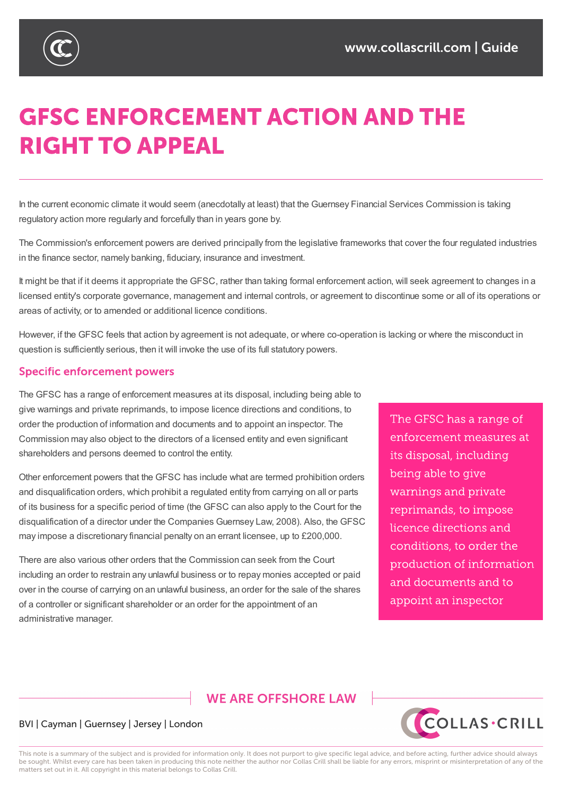

# **GFSC ENFORCEMENT ACTION AND THE RIGHT TO APPEAL**

In the current economic climate it would seem (anecdotally at least) that the Guernsey Financial Services Commission is taking regulatory action more regularly and forcefully than in years gone by.

The Commission's enforcement powers are derived principally from the legislative frameworks that cover the four regulated industries in the finance sector, namely banking, fiduciary, insurance and investment.

It might be that if it deems it appropriate the GFSC, rather than taking formal enforcement action, will seek agreement to changes in a licensed entity's corporate governance, management and internal controls, or agreement to discontinue some or all of its operations or areas of activity, or to amended or additional licence conditions.

However, if the GFSC feels that action by agreement is not adequate, or where co-operation is lacking or where the misconduct in question is sufficiently serious, then it will invoke the use of its full statutory powers.

## **Specific enforcement powers**

The GFSC has a range of enforcement measures at its disposal, including being able to give warnings and private reprimands, to impose licence directions and conditions, to order the production of information and documents and to appoint an inspector. The Commission may also object to the directors of a licensed entity and even significant shareholders and persons deemed to control the entity.

Other enforcement powers that the GFSC has include what are termed prohibition orders and disqualification orders, which prohibit a regulated entity from carrying on all or parts of its business for a specific period of time (the GFSC can also apply to the Court for the disqualification of a director under the Companies Guernsey Law, 2008). Also, the GFSC may impose a discretionary financial penalty on an errant licensee, up to £200,000.

There are also various other orders that the Commission can seek from the Court including an order to restrain any unlawful business or to repay monies accepted or paid over in the course of carrying on an unlawful business, an order for the sale of the shares of a controller or significant shareholder or an order for the appointment of an administrative manager.

The GFSC has a range of enforcement measures at its disposal, including being able to give warnings and private reprimands, to impose licence directions and conditions, to order the production of information and documents and to appoint an inspector

# **WE ARE OFFSHORE I AW**

## BVI | Cayman | Guernsey | Jersey | London



This note is a summary of the subject and is provided for information only. It does not purport to give specific legal advice, and before acting, further advice should always be sought. Whilst every care has been taken in producing this note neither the author nor Collas Crill shall be liable for any errors, misprint or misinterpretation of any of the matters set out in it. All copyright in this material belongs to Collas Crill.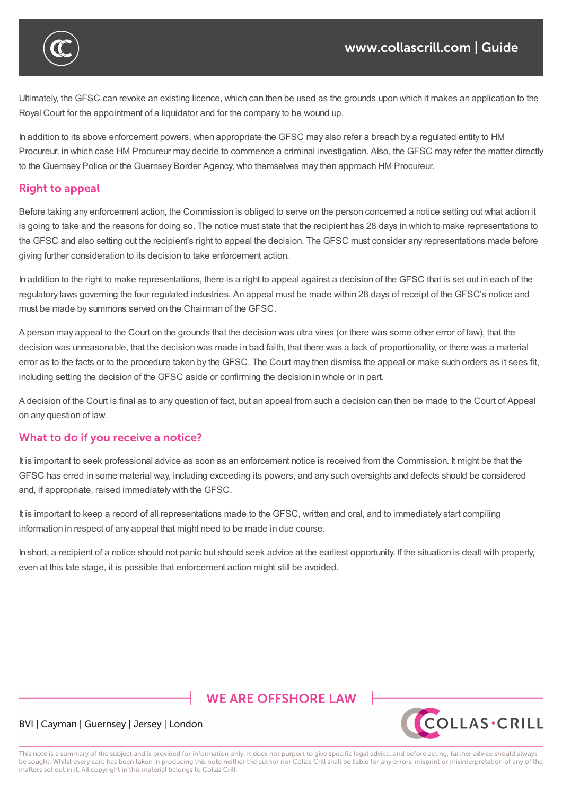

Ultimately, the GFSC can revoke an existing licence, which can then be used as the grounds upon which it makes an application to the Royal Court for the appointment of a liquidator and for the company to be wound up.

In addition to its above enforcement powers, when appropriate the GFSC may also refer a breach by a regulated entity to HM Procureur, in which case HM Procureur may decide to commence a criminal investigation. Also, the GFSC may refer the matter directly to the Guernsey Police or the Guernsey Border Agency, who themselves may then approach HM Procureur.

## **Right to appeal**

Before taking any enforcement action, the Commission is obliged to serve on the person concerned a notice setting out what action it is going to take and the reasons for doing so. The notice must state that the recipient has 28 days in which to make representations to the GFSC and also setting out the recipient's right to appeal the decision. The GFSC must consider any representations made before giving further consideration to its decision to take enforcement action.

In addition to the right to make representations, there is a right to appeal against a decision of the GFSC that is set out in each of the regulatory laws governing the four regulated industries. An appeal must be made within 28 days of receipt of the GFSC's notice and must be made by summons served on the Chairman of the GFSC.

A person may appeal to the Court on the grounds that the decision was ultra vires (or there was some other error of law), that the decision was unreasonable, that the decision was made in bad faith, that there was a lack of proportionality, or there was a material error as to the facts or to the procedure taken by the GFSC. The Court may then dismiss the appeal or make such orders as it sees fit, including setting the decision of the GFSC aside or confirming the decision in whole or in part.

A decision of the Court is final as to any question of fact, but an appeal from such a decision can then be made to the Court of Appeal on any question of law.

## What to do if you receive a notice?

It is important to seek professional advice as soon as an enforcement notice is received from the Commission. It might be that the GFSC has erred in some material way, including exceeding its powers, and any such oversights and defects should be considered and, if appropriate, raised immediately with the GFSC.

It is important to keep a record of all representations made to the GFSC, written and oral, and to immediately start compiling information in respect of any appeal that might need to be made in due course.

In short, a recipient of a notice should not panic but should seek advice at the earliest opportunity. If the situation is dealt with properly, even at this late stage, it is possible that enforcement action might still be avoided.

# **WE ARE OFFSHORE LAW**



#### BVI | Cayman | Guernsey | Jersey | London

This note is a summary of the subject and is provided for information only. It does not purport to give specific legal advice, and before acting, further advice should always be sought. Whilst every care has been taken in producing this note neither the author nor Collas Crill shall be liable for any errors, misprint or misinterpretation of any of the matters set out in it. All copyright in this material belongs to Collas Crill.